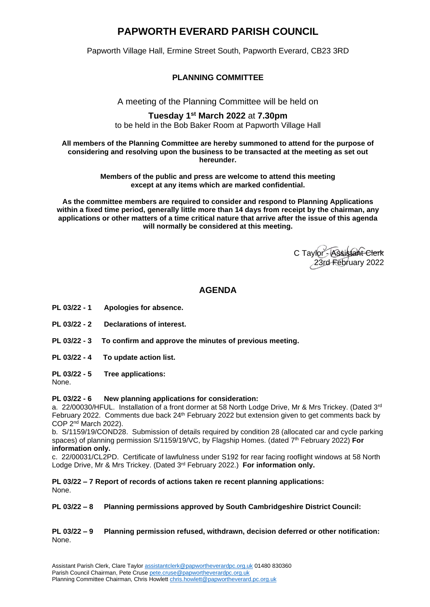# **PAPWORTH EVERARD PARISH COUNCIL**

Papworth Village Hall, Ermine Street South, Papworth Everard, CB23 3RD

# **PLANNING COMMITTEE**

A meeting of the Planning Committee will be held on

## **Tuesday 1 st March 2022** at **7.30pm** to be held in the Bob Baker Room at Papworth Village Hall

#### **All members of the Planning Committee are hereby summoned to attend for the purpose of considering and resolving upon the business to be transacted at the meeting as set out hereunder.**

**Members of the public and press are welcome to attend this meeting except at any items which are marked confidential.**

**As the committee members are required to consider and respond to Planning Applications within a fixed time period, generally little more than 14 days from receipt by the chairman, any applications or other matters of a time critical nature that arrive after the issue of this agenda will normally be considered at this meeting.**

C Taylor - Assistant Clerk 23rd February 2022

# **AGENDA**

- **PL 03/22 - 1 Apologies for absence.**
- **PL 03/22 - 2 Declarations of interest.**
- **PL 03/22 - 3 To confirm and approve the minutes of previous meeting.**
- **PL 03/22 - 4 To update action list.**

**PL 03/22 - 5 Tree applications:**

None.

# **PL 03/22 - 6 New planning applications for consideration:**

a. 22/00030/HFUL. Installation of a front dormer at 58 North Lodge Drive, Mr & Mrs Trickey. (Dated 3rd February 2022. Comments due back 24<sup>th</sup> February 2022 but extension given to get comments back by COP 2nd March 2022).

b. S/1159/19/COND28. Submission of details required by condition 28 (allocated car and cycle parking spaces) of planning permission S/1159/19/VC, by Flagship Homes. (dated 7 th February 2022) **For information only.**

c. 22/00031/CL2PD. Certificate of lawfulness under S192 for rear facing rooflight windows at 58 North Lodge Drive, Mr & Mrs Trickey. (Dated 3rd February 2022.) **For information only.**

**PL 03/22 – 7 Report of records of actions taken re recent planning applications:**  None.

**PL 03/22 – 8 Planning permissions approved by South Cambridgeshire District Council:** 

**PL 03/22 – 9 Planning permission refused, withdrawn, decision deferred or other notification:**  None.